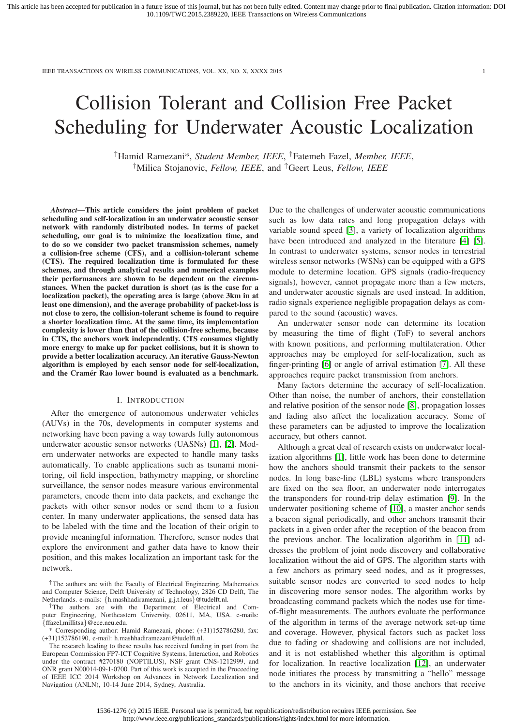IEEE TRANSACTIONS ON WIRELSS COMMUNICATIONS, VOL. XX, NO. X, XXXX 2015 1

# Collision Tolerant and Collision Free Packet Scheduling for Underwater Acoustic Localization

↑Hamid Ramezani\*, *Student Member, IEEE*, †Fatemeh Fazel, *Member, IEEE*, †Milica Stojanovic, *Fellow, IEEE*, and ↑Geert Leus, *Fellow, IEEE*

*Abstract***—This article considers the joint problem of packet scheduling and self-localization in an underwater acoustic sensor network with randomly distributed nodes. In terms of packet scheduling, our goal is to minimize the localization time, and to do so we consider two packet transmission schemes, namely a collision-free scheme (CFS), and a collision-tolerant scheme (CTS). The required localization time is formulated for these schemes, and through analytical results and numerical examples their performances are shown to be dependent on the circumstances. When the packet duration is short (as is the case for a localization packet), the operating area is large (above 3km in at least one dimension), and the average probability of packet-loss is not close to zero, the collision-tolerant scheme is found to require a shorter localization time. At the same time, its implementation complexity is lower than that of the collision-free scheme, because in CTS, the anchors work independently. CTS consumes slightly more energy to make up for packet collisions, but it is shown to provide a better localization accuracy. An iterative Gauss-Newton algorithm is employed by each sensor node for self-localization, and the Cramer Rao lower bound is evaluated as a benchmark. ´**

# I. INTRODUCTION

After the emergence of autonomous underwater vehicles (AUVs) in the 70s, developments in computer systems and networking have been paving a way towards fully autonomous underwater acoustic sensor networks (UASNs) [1], [2]. Modern underwater networks are expected to handle many tasks automatically. To enable applications such as tsunami monitoring, oil field inspection, bathymetry mapping, or shoreline surveillance, the sensor nodes measure various environmental parameters, encode them into data packets, and exchange the packets with other sensor nodes or send them to a fusion center. In many underwater applications, the sensed data has to be labeled with the time and the location of their origin to provide meaningful information. Therefore, sensor nodes that explore the environment and gather data have to know their position, and this makes localization an important task for the network.

<sup>↑</sup>The authors are with the Faculty of Electrical Engineering, Mathematics and Computer Science, Delft University of Technology, 2826 CD Delft, The Netherlands. e-mails: {h.mashhadiramezani, g.j.t.leus}@tudelft.nl.

<sup>†</sup>The authors are with the Department of Electrical and Computer Engineering, Northeastern University, 02611, MA, USA. e-mails: {ffazel,millitsa}@ece.neu.edu.

\* Corresponding author: Hamid Ramezani, phone: (+31)152786280, fax: (+31)152786190, e-mail: h.mashhadiramezani@tudelft.nl.

The research leading to these results has received funding in part from the European Commission FP7-ICT Cognitive Systems, Interaction, and Robotics under the contract #270180 (NOPTILUS), NSF grant CNS-1212999, and ONR grant N00014-09-1-0700. Part of this work is accepted in the Proceeding of IEEE ICC 2014 Workshop on Advances in Network Localization and Navigation (ANLN), 10-14 June 2014, Sydney, Australia.

Due to the challenges of underwater acoustic communications such as low data rates and long propagation delays with variable sound speed [3], a variety of localization algorithms have been introduced and analyzed in the literature [4] [5]. In contrast to underwater systems, sensor nodes in terrestrial wireless sensor networks (WSNs) can be equipped with a GPS module to determine location. GPS signals (radio-frequency signals), however, cannot propagate more than a few meters, and underwater acoustic signals are used instead. In addition, radio signals experience negligible propagation delays as compared to the sound (acoustic) waves.

An underwater sensor node can determine its location by measuring the time of flight (ToF) to several anchors with known positions, and performing multilateration. Other approaches may be employed for self-localization, such as finger-printing [6] or angle of arrival estimation [7]. All these approaches require packet transmission from anchors.

Many factors determine the accuracy of self-localization. Other than noise, the number of anchors, their constellation and relative position of the sensor node [8], propagation losses and fading also affect the localization accuracy. Some of these parameters can be adjusted to improve the localization accuracy, but others cannot.

Although a great deal of research exists on underwater localization algorithms [1], little work has been done to determine how the anchors should transmit their packets to the sensor nodes. In long base-line (LBL) systems where transponders are fixed on the sea floor, an underwater node interrogates the transponders for round-trip delay estimation [9]. In the underwater positioning scheme of [10], a master anchor sends a beacon signal periodically, and other anchors transmit their packets in a given order after the reception of the beacon from the previous anchor. The localization algorithm in [11] addresses the problem of joint node discovery and collaborative localization without the aid of GPS. The algorithm starts with a few anchors as primary seed nodes, and as it progresses, suitable sensor nodes are converted to seed nodes to help in discovering more sensor nodes. The algorithm works by broadcasting command packets which the nodes use for timeof-flight measurements. The authors evaluate the performance of the algorithm in terms of the average network set-up time and coverage. However, physical factors such as packet loss due to fading or shadowing and collisions are not included, and it is not established whether this algorithm is optimal for localization. In reactive localization [12], an underwater node initiates the process by transmitting a "hello" message to the anchors in its vicinity, and those anchors that receive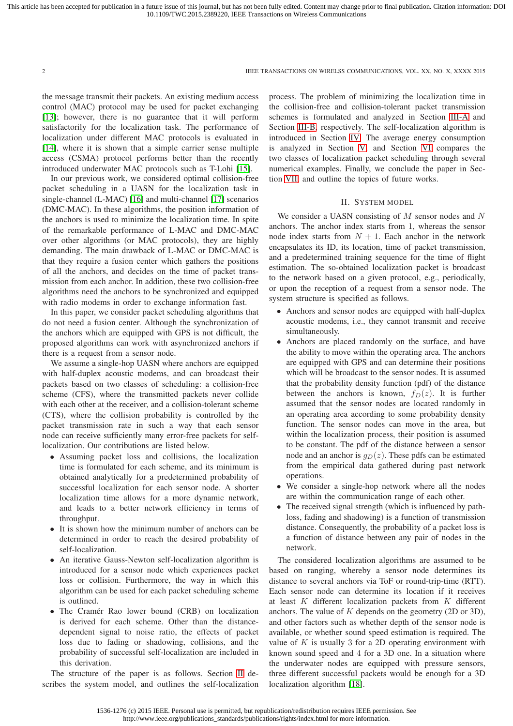the message transmit their packets. An existing medium access control (MAC) protocol may be used for packet exchanging [13]; however, there is no guarantee that it will perform satisfactorily for the localization task. The performance of localization under different MAC protocols is evaluated in [14], where it is shown that a simple carrier sense multiple access (CSMA) protocol performs better than the recently introduced underwater MAC protocols such as T-Lohi [15].

In our previous work, we considered optimal collision-free packet scheduling in a UASN for the localization task in single-channel (L-MAC) [16] and multi-channel [17] scenarios (DMC-MAC). In these algorithms, the position information of the anchors is used to minimize the localization time. In spite of the remarkable performance of L-MAC and DMC-MAC over other algorithms (or MAC protocols), they are highly demanding. The main drawback of L-MAC or DMC-MAC is that they require a fusion center which gathers the positions of all the anchors, and decides on the time of packet transmission from each anchor. In addition, these two collision-free algorithms need the anchors to be synchronized and equipped with radio modems in order to exchange information fast.

In this paper, we consider packet scheduling algorithms that do not need a fusion center. Although the synchronization of the anchors which are equipped with GPS is not difficult, the proposed algorithms can work with asynchronized anchors if there is a request from a sensor node.

We assume a single-hop UASN where anchors are equipped with half-duplex acoustic modems, and can broadcast their packets based on two classes of scheduling: a collision-free scheme (CFS), where the transmitted packets never collide with each other at the receiver, and a collision-tolerant scheme (CTS), where the collision probability is controlled by the packet transmission rate in such a way that each sensor node can receive sufficiently many error-free packets for selflocalization. Our contributions are listed below.

- Assuming packet loss and collisions, the localization time is formulated for each scheme, and its minimum is obtained analytically for a predetermined probability of successful localization for each sensor node. A shorter localization time allows for a more dynamic network, and leads to a better network efficiency in terms of throughput.
- It is shown how the minimum number of anchors can be determined in order to reach the desired probability of self-localization.
- An iterative Gauss-Newton self-localization algorithm is introduced for a sensor node which experiences packet loss or collision. Furthermore, the way in which this algorithm can be used for each packet scheduling scheme is outlined.
- The Cramér Rao lower bound (CRB) on localization is derived for each scheme. Other than the distancedependent signal to noise ratio, the effects of packet loss due to fading or shadowing, collisions, and the probability of successful self-localization are included in this derivation.

The structure of the paper is as follows. Section II describes the system model, and outlines the self-localization process. The problem of minimizing the localization time in the collision-free and collision-tolerant packet transmission schemes is formulated and analyzed in Section III-A and Section III-B, respectively. The self-localization algorithm is introduced in Section IV. The average energy consumption is analyzed in Section V, and Section VI compares the two classes of localization packet scheduling through several numerical examples. Finally, we conclude the paper in Section VII, and outline the topics of future works.

#### II. SYSTEM MODEL

We consider a UASN consisting of  $M$  sensor nodes and  $N$ anchors. The anchor index starts from 1, whereas the sensor node index starts from  $N + 1$ . Each anchor in the network encapsulates its ID, its location, time of packet transmission, and a predetermined training sequence for the time of flight estimation. The so-obtained localization packet is broadcast to the network based on a given protocol, e.g., periodically, or upon the reception of a request from a sensor node. The system structure is specified as follows.

- Anchors and sensor nodes are equipped with half-duplex acoustic modems, i.e., they cannot transmit and receive simultaneously.
- Anchors are placed randomly on the surface, and have the ability to move within the operating area. The anchors are equipped with GPS and can determine their positions which will be broadcast to the sensor nodes. It is assumed that the probability density function (pdf) of the distance between the anchors is known,  $f_D(z)$ . It is further assumed that the sensor nodes are located randomly in an operating area according to some probability density function. The sensor nodes can move in the area, but within the localization process, their position is assumed to be constant. The pdf of the distance between a sensor node and an anchor is  $g_D(z)$ . These pdfs can be estimated from the empirical data gathered during past network operations.
- We consider a single-hop network where all the nodes are within the communication range of each other.
- The received signal strength (which is influenced by pathloss, fading and shadowing) is a function of transmission distance. Consequently, the probability of a packet loss is a function of distance between any pair of nodes in the network.

The considered localization algorithms are assumed to be based on ranging, whereby a sensor node determines its distance to several anchors via ToF or round-trip-time (RTT). Each sensor node can determine its location if it receives at least  $K$  different localization packets from  $K$  different anchors. The value of K depends on the geometry (2D or 3D), and other factors such as whether depth of the sensor node is available, or whether sound speed estimation is required. The value of  $K$  is usually 3 for a 2D operating environment with known sound speed and 4 for a 3D one. In a situation where the underwater nodes are equipped with pressure sensors, three different successful packets would be enough for a 3D localization algorithm [18].

<sup>1536-1276 (</sup>c) 2015 IEEE. Personal use is permitted, but republication/redistribution requires IEEE permission. See http://www.ieee.org/publications\_standards/publications/rights/index.html for more information.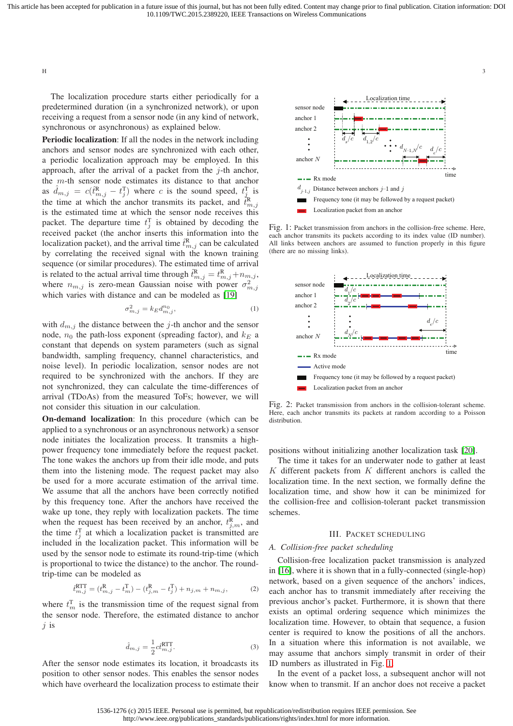$\mathbf{H}$  3

The localization procedure starts either periodically for a predetermined duration (in a synchronized network), or upon receiving a request from a sensor node (in any kind of network, synchronous or asynchronous) as explained below.

**Periodic localization**: If all the nodes in the network including anchors and sensor nodes are synchronized with each other, a periodic localization approach may be employed. In this approach, after the arrival of a packet from the  $j$ -th anchor, the m-th sensor node estimates its distance to that anchor as  $\hat{d}_{m,j} = c(\hat{t}_{m,j}^{\text{R}} - t_j^{\text{T}})$  where c is the sound speed,  $t_j^{\text{T}}$  is the time at which the anchor transmits its packet, and  $\tilde{t}_{m,j}^{\text{R}}$ is the estimated time at which the sensor node receives this packet. The departure time  $t_j^{\text{T}}$  is obtained by decoding the received packet (the anchor inserts this information into the localization packet), and the arrival time  $\hat{t}_{m,j}^{\text{R}}$  can be calculated by correlating the received signal with the known training sequence (or similar procedures). The estimated time of arrival is related to the actual arrival time through  $\hat{t}_{m,j}^{\text{R}} = t_{m,j}^{\text{R}} + n_{m,j}$ , where  $n_{m,j}$  is zero-mean Gaussian noise with power  $\sigma_{m,j}^2$ which varies with distance and can be modeled as [19]

$$
\sigma_{m,j}^2 = k_E d_{m,j}^{n_0},\tag{1}
$$

with  $d_{m,j}$  the distance between the j-th anchor and the sensor node,  $n_0$  the path-loss exponent (spreading factor), and  $k_E$  a constant that depends on system parameters (such as signal bandwidth, sampling frequency, channel characteristics, and noise level). In periodic localization, sensor nodes are not required to be synchronized with the anchors. If they are not synchronized, they can calculate the time-differences of arrival (TDoAs) from the measured ToFs; however, we will not consider this situation in our calculation.

**On-demand localization**: In this procedure (which can be applied to a synchronous or an asynchronous network) a sensor node initiates the localization process. It transmits a highpower frequency tone immediately before the request packet. The tone wakes the anchors up from their idle mode, and puts them into the listening mode. The request packet may also be used for a more accurate estimation of the arrival time. We assume that all the anchors have been correctly notified by this frequency tone. After the anchors have received the wake up tone, they reply with localization packets. The time when the request has been received by an anchor,  $t_{j,m}^R$ , and the time  $t_j^{\text{T}}$  at which a localization packet is transmitted are included in the localization packet. This information will be used by the sensor node to estimate its round-trip-time (which is proportional to twice the distance) to the anchor. The roundtrip-time can be modeled as

$$
\hat{t}_{m,j}^{\text{RTT}} = (t_{m,j}^{\text{R}} - t_m^{\text{T}}) - (t_{j,m}^{\text{R}} - t_j^{\text{T}}) + n_{j,m} + n_{m,j},\tag{2}
$$

where  $t_m^{\text{T}}$  is the transmission time of the request signal from the sensor node. Therefore, the estimated distance to anchor j is

$$
\hat{d}_{m,j} = \frac{1}{2} c \hat{t}_{m,j}^{\text{RTT}}.
$$
\n(3)

After the sensor node estimates its location, it broadcasts its position to other sensor nodes. This enables the sensor nodes which have overheard the localization process to estimate their



Fig. 1: Packet transmission from anchors in the collision-free scheme. Here, each anchor transmits its packets according to its index value (ID number). All links between anchors are assumed to function properly in this figure (there are no missing links).



Fig. 2: Packet transmission from anchors in the collision-tolerant scheme. Here, each anchor transmits its packets at random according to a Poisson distribution.

positions without initializing another localization task [20].

The time it takes for an underwater node to gather at least  $K$  different packets from  $K$  different anchors is called the localization time. In the next section, we formally define the localization time, and show how it can be minimized for the collision-free and collision-tolerant packet transmission schemes.

### III. PACKET SCHEDULING

# *A. Collision-free packet scheduling*

Collision-free localization packet transmission is analyzed in [16], where it is shown that in a fully-connected (single-hop) network, based on a given sequence of the anchors' indices, each anchor has to transmit immediately after receiving the previous anchor's packet. Furthermore, it is shown that there exists an optimal ordering sequence which minimizes the localization time. However, to obtain that sequence, a fusion center is required to know the positions of all the anchors. In a situation where this information is not available, we may assume that anchors simply transmit in order of their ID numbers as illustrated in Fig. 1.

In the event of a packet loss, a subsequent anchor will not know when to transmit. If an anchor does not receive a packet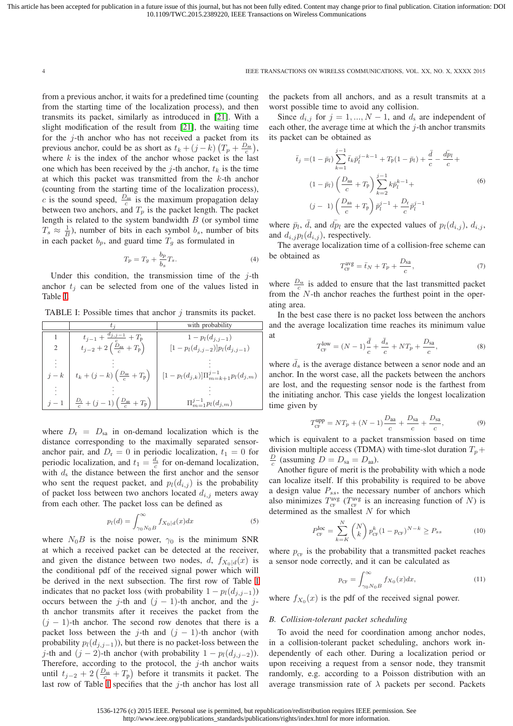from a previous anchor, it waits for a predefined time (counting from the starting time of the localization process), and then transmits its packet, similarly as introduced in [21]. With a slight modification of the result from [21], the waiting time for the  $i$ -th anchor who has not received a packet from its previous anchor, could be as short as  $t_k + (j - k) (T_p + \frac{D_{aa}}{c}),$ where  $k$  is the index of the anchor whose packet is the last one which has been received by the j-th anchor,  $t_k$  is the time at which this packet was transmitted from the k-th anchor (counting from the starting time of the localization process), c is the sound speed,  $\frac{D_{aa}}{c}$  is the maximum propagation delay between two anchors, and  $T_p$  is the packet length. The packet length is related to the system bandwidth  $B$  (or symbol time  $T_s \approx \frac{1}{B}$ ), number of bits in each symbol  $b_s$ , number of bits in each packet  $b_p$ , and guard time  $T_g$  as formulated in

$$
T_p = T_g + \frac{b_p}{b_s} T_s. \tag{4}
$$

Under this condition, the transmission time of the  $i$ -th anchor  $t_i$  can be selected from one of the values listed in Table I.

TABLE I: Possible times that anchor  $j$  transmits its packet.

|       |                                                                                                                                                               | with probability                                |  |  |
|-------|---------------------------------------------------------------------------------------------------------------------------------------------------------------|-------------------------------------------------|--|--|
|       |                                                                                                                                                               | $1-p_l(d_{j,j-1})$                              |  |  |
|       | $\begin{array}{c}\n\hline\n t_{j-1} + \frac{d_{j,j-1}}{c} + T_{\mathbf{p}} \\  t_{j-2} + 2\left(\frac{D_{\text{aa}}}{c} + T_{\mathbf{p}}\right)\n\end{array}$ | $[1-p_l(d_{j,j-2})]p_l(d_{j,j-1})$              |  |  |
|       |                                                                                                                                                               |                                                 |  |  |
| $j-k$ | $t_k + (j - k) \left( \frac{D_{aa}}{c} + T_p \right)$                                                                                                         | $[1-p_l(d_{j,k})]\Pi_{m=k+1}^{j-1}p_l(d_{j,m})$ |  |  |
|       |                                                                                                                                                               |                                                 |  |  |
| $i-1$ | $\frac{D_{\rm r}}{c} + (j-1)\left(\frac{D_{\rm aa}}{c} + T_{\rm p}\right)$                                                                                    | $\Pi_{m=1}^{j-1} p_l(d_{j,m})$                  |  |  |

where  $D_r = D_{sa}$  in on-demand localization which is the distance corresponding to the maximally separated sensoranchor pair, and  $D_r = 0$  in periodic localization,  $t_1 = 0$  for periodic localization, and  $t_1 = \frac{d_s}{c}$  for on-demand localization, with  $d_s$  the distance between the first anchor and the sensor who sent the request packet, and  $p_l(d_{i,j})$  is the probability of packet loss between two anchors located  $d_{i,j}$  meters away from each other. The packet loss can be defined as

$$
p_l(d) = \int_{\gamma_0 N_0 B}^{\infty} f_{X_0|d}(x) dx
$$
\n(5)

where  $N_0B$  is the noise power,  $\gamma_0$  is the minimum SNR at which a received packet can be detected at the receiver, and given the distance between two nodes, d,  $f_{X_0|d}(x)$  is the conditional pdf of the received signal power which will be derived in the next subsection. The first row of Table I indicates that no packet loss (with probability  $1 - p_l(d_{i,j-1})$ ) occurs between the j-th and  $(j - 1)$ -th anchor, and the jth anchor transmits after it receives the packet from the  $(j - 1)$ -th anchor. The second row denotes that there is a packet loss between the j-th and  $(j - 1)$ -th anchor (with probability  $p_l(d_{j,j-1})$ ), but there is no packet-loss between the j-th and  $(j - 2)$ -th anchor (with probability  $1 - p_l(d_{j,j-2})$ ). Therefore, according to the protocol, the  $j$ -th anchor waits until  $t_{j-2} + 2\left(\frac{D_{aa}}{c} + T_p\right)$  before it transmits it packet. The last row of Table I specifies that the  $j$ -th anchor has lost all

the packets from all anchors, and as a result transmits at a worst possible time to avoid any collision.

Since  $d_{i,j}$  for  $j = 1, ..., N - 1$ , and  $d_s$  are independent of each other, the average time at which the  $j$ -th anchor transmits its packet can be obtained as

$$
\bar{t}_j = (1 - \bar{p}_l) \sum_{k=1}^{j-1} \bar{t}_k \bar{p}_l^{j-k-1} + T_p (1 - \bar{p}_l) + \frac{\bar{d}}{c} - \frac{d\bar{p}_l}{c} +
$$
\n
$$
(1 - \bar{p}_l) \left( \frac{D_{aa}}{c} + T_p \right) \sum_{k=2}^{j-1} k \bar{p}_l^{k-1} +
$$
\n
$$
(j - 1) \left( \frac{D_{aa}}{c} + T_p \right) \bar{p}_l^{j-1} + \frac{D_r}{c} \bar{p}_l^{j-1} \tag{6}
$$

where  $\bar{p}_l$ ,  $\bar{d}$ , and  $\bar{dp}_l$  are the expected values of  $p_l(d_{i,j})$ ,  $d_{i,j}$ , and  $d_{i,j}p_l(d_{i,j})$ , respectively.

The average localization time of a collision-free scheme can be obtained as

$$
T_{\rm CF}^{\rm avg} = \bar{t}_N + T_p + \frac{D_{\rm Sa}}{c},\tag{7}
$$

where  $\frac{D_{sa}}{c}$  is added to ensure that the last transmitted packet from the N-th anchor reaches the furthest point in the operating area.

In the best case there is no packet loss between the anchors and the average localization time reaches its minimum value at

$$
T_{\rm CF}^{\rm low} = (N-1)\frac{\bar{d}}{c} + \frac{\bar{d}_s}{c} + NT_p + \frac{D_{\rm Sa}}{c},\tag{8}
$$

where  $d_s$  is the average distance between a senor node and an anchor. In the worst case, all the packets between the anchors are lost, and the requesting sensor node is the farthest from the initiating anchor. This case yields the longest localization time given by

$$
T_{\rm CF}^{\rm upp} = NT_p + (N - 1)\frac{D_{\rm aa}}{c} + \frac{D_{\rm Sa}}{c} + \frac{D_{\rm Sa}}{c},\tag{9}
$$

which is equivalent to a packet transmission based on time division multiple access (TDMA) with time-slot duration  $T_p+$  $\frac{D}{c}$  (assuming  $D = D_{sa} = D_{aa}$ ).

Another figure of merit is the probability with which a node can localize itself. If this probability is required to be above a design value  $P_{ss}$ , the necessary number of anchors which also minimizes  $T_{\text{CF}}^{\text{avg}}$  ( $T_{\text{CF}}^{\text{avg}}$  is an increasing function of N) is determined as the smallest  $N$  for which

$$
P_{\rm CF}^{\rm loc} = \sum_{k=K}^{N} \binom{N}{k} p_{\rm CF}^{k} (1 - p_{\rm CF})^{N-k} \ge P_{ss}
$$
 (10)

where  $p_{CF}$  is the probability that a transmitted packet reaches a sensor node correctly, and it can be calculated as

$$
p_{\rm CF} = \int_{\gamma_0 N_0 B}^{\infty} f_{X_0}(x) dx,
$$
\n(11)

where  $f_{X_0}(x)$  is the pdf of the received signal power.

#### *B. Collision-tolerant packet scheduling*

To avoid the need for coordination among anchor nodes, in a collision-tolerant packet scheduling, anchors work independently of each other. During a localization period or upon receiving a request from a sensor node, they transmit randomly, e.g. according to a Poisson distribution with an average transmission rate of  $\lambda$  packets per second. Packets

<sup>1536-1276 (</sup>c) 2015 IEEE. Personal use is permitted, but republication/redistribution requires IEEE permission. See

http://www.ieee.org/publications\_standards/publications/rights/index.html for more information.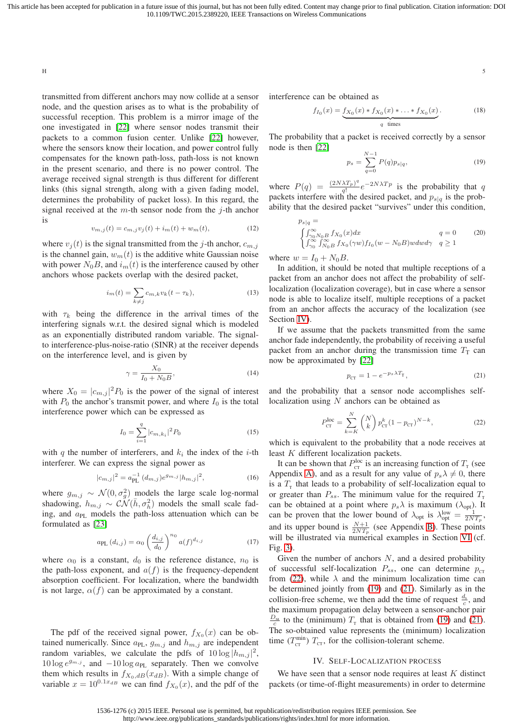H  $\overline{5}$ 

transmitted from different anchors may now collide at a sensor node, and the question arises as to what is the probability of successful reception. This problem is a mirror image of the one investigated in [22] where sensor nodes transmit their packets to a common fusion center. Unlike [22] however, where the sensors know their location, and power control fully compensates for the known path-loss, path-loss is not known in the present scenario, and there is no power control. The average received signal strength is thus different for different links (this signal strength, along with a given fading model, determines the probability of packet loss). In this regard, the signal received at the  $m$ -th sensor node from the j-th anchor is

$$
v_{m,j}(t) = c_{m,j}v_j(t) + i_m(t) + w_m(t),
$$
\n(12)

where  $v_i(t)$  is the signal transmitted from the j-th anchor,  $c_{m,j}$ is the channel gain,  $w_m(t)$  is the additive white Gaussian noise with power  $N_0B$ , and  $i_m(t)$  is the interference caused by other anchors whose packets overlap with the desired packet,

$$
i_m(t) = \sum_{k \neq j} c_{m,k} v_k(t - \tau_k), \qquad (13)
$$

with  $\tau_k$  being the difference in the arrival times of the interfering signals w.r.t. the desired signal which is modeled as an exponentially distributed random variable. The signalto interference-plus-noise-ratio (SINR) at the receiver depends on the interference level, and is given by

$$
\gamma = \frac{X_0}{I_0 + N_0 B},\tag{14}
$$

where  $X_0 = |c_{m,j}|^2 P_0$  is the power of the signal of interest with  $P_0$  the anchor's transmit power, and where  $I_0$  is the total interference power which can be expressed as

$$
I_0 = \sum_{i=1}^{q} |c_{m,k_i}|^2 P_0
$$
 (15)

with q the number of interferers, and  $k_i$  the index of the *i*-th interferer. We can express the signal power as

$$
|c_{m,j}|^2 = a_{\text{PL}}^{-1} (d_{m,j}) e^{g_{m,j}} |h_{m,j}|^2,
$$
\n(16)

where  $g_{m,j} \sim \mathcal{N}(0, \sigma_g^2)$  models the large scale log-normal shadowing,  $h_{m,j} \sim \mathcal{CN}(\bar{h}, \sigma_h^2)$  models the small scale fading, and  $a_{PL}$  models the path-loss attenuation which can be formulated as [23]

$$
a_{\text{PL}}(d_{i,j}) = \alpha_0 \left(\frac{d_{i,j}}{d_0}\right)^{n_0} a(f)^{d_{i,j}} \tag{17}
$$

where  $\alpha_0$  is a constant,  $d_0$  is the reference distance,  $n_0$  is the path-loss exponent, and  $a(f)$  is the frequency-dependent absorption coefficient. For localization, where the bandwidth is not large,  $\alpha(f)$  can be approximated by a constant.

The pdf of the received signal power,  $f_{X_0}(x)$  can be obtained numerically. Since  $a_{PL}$ ,  $g_{m,j}$  and  $h_{m,j}$  are independent random variables, we calculate the pdfs of  $10 \log |h_{m,j}|^2$ ,  $10 \log e^{g_{m,j}}$ , and  $-10 \log a_{PL}$  separately. Then we convolve them which results in  $f_{X_0, dB}(x_{dB})$ . With a simple change of variable  $x = 10^{0.1x_{dB}}$  we can find  $f_{X_0}(x)$ , and the pdf of the interference can be obtained as

$$
f_{I_0}(x) = \underbrace{f_{X_0}(x) * f_{X_0}(x) * \dots * f_{X_0}(x)}_{q \text{ times}}.
$$
 (18)

The probability that a packet is received correctly by a sensor node is then [22]

$$
p_s = \sum_{q=0}^{N-1} P(q) p_{s|q},
$$
\n(19)

where  $P(q) = \frac{(2N\lambda T_p)^q}{q!}$  $\frac{\lambda T_p)^q}{q!}e^{-2N\lambda T_p}$  is the probability that q packets interfere with the desired packet, and  $p_{s|q}$  is the probability that the desired packet "survives" under this condition,

$$
p_{s|q} = \n\begin{cases} \n\int_{\gamma_0}^{\infty} f_{X_0}(x) dx & q = 0 \\
\int_{\gamma_0}^{\infty} \int_{N_0}^{\infty} f_{X_0}(\gamma w) f_{I_0}(w - N_0 B) w dw d\gamma & q \ge 1\n\end{cases}
$$
\n(20)

where  $w = I_0 + N_0B$ .

In addition, it should be noted that multiple receptions of a packet from an anchor does not affect the probability of selflocalization (localization coverage), but in case where a sensor node is able to localize itself, multiple receptions of a packet from an anchor affects the accuracy of the localization (see Section IV).

If we assume that the packets transmitted from the same anchor fade independently, the probability of receiving a useful packet from an anchor during the transmission time  $T<sub>T</sub>$  can now be approximated by [22]

$$
p_{\rm CT} = 1 - e^{-p_s \lambda T_{\rm T}},\tag{21}
$$

and the probability that a sensor node accomplishes selflocalization using  $N$  anchors can be obtained as

$$
P_{\rm CT}^{\rm loc} = \sum_{k=K}^{N} \binom{N}{k} p_{\rm CT}^k (1 - p_{\rm CT})^{N-k},\tag{22}
$$

which is equivalent to the probability that a node receives at least K different localization packets.

It can be shown that  $P_{\text{cr}}^{\text{loc}}$  is an increasing function of  $T_{\text{r}}$  (see Appendix A), and as a result for any value of  $p_s \lambda \neq 0$ , there is a  $T_{\text{t}}$  that leads to a probability of self-localization equal to or greater than  $P_{ss}$ . The minimum value for the required  $T_{\text{t}}$ can be obtained at a point where  $p_s \lambda$  is maximum ( $\lambda_{opt}$ ). It can be proven that the lower bound of  $\lambda_{opt}$  is  $\lambda_{opt}^{low} = \frac{1}{2NT_p}$ , and its upper bound is  $\frac{N+1}{2NT_p}$  (see Appendix B). These points will be illustrated via numerical examples in Section VI (cf. Fig. 3).

Given the number of anchors  $N$ , and a desired probability of successful self-localization  $P_{ss}$ , one can determine  $p_{cr}$ from (22), while  $\lambda$  and the minimum localization time can be determined jointly from (19) and (21). Similarly as in the collision-free scheme, we then add the time of request  $\frac{d_s}{c}$ , and the maximum propagation delay between a sensor-anchor pair  $\frac{D_{sa}}{c}$  to the (minimum)  $T_{\text{T}}$  that is obtained from (19) and (21). The so-obtained value represents the (minimum) localization time  $(T_{\text{cr}}^{\min})$   $T_{\text{cr}}$ , for the collision-tolerant scheme.

# IV. SELF-LOCALIZATION PROCESS

We have seen that a sensor node requires at least  $K$  distinct packets (or time-of-flight measurements) in order to determine

1536-1276 (c) 2015 IEEE. Personal use is permitted, but republication/redistribution requires IEEE permission. See

http://www.ieee.org/publications\_standards/publications/rights/index.html for more information.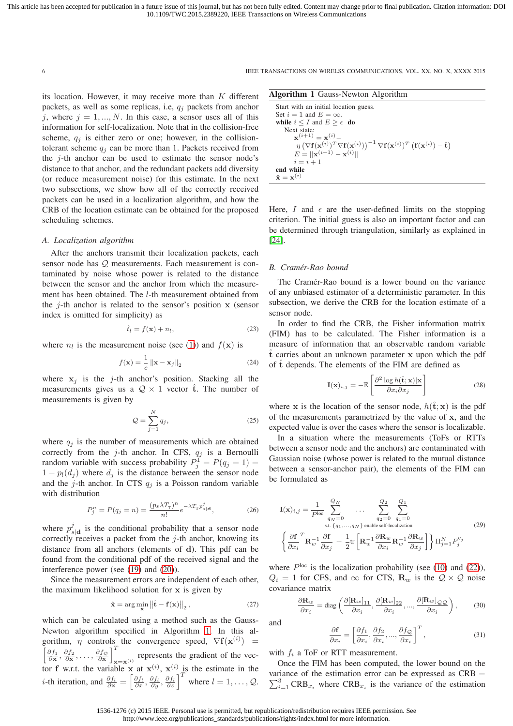6 IEEE TRANSACTIONS ON WIRELSS COMMUNICATIONS, VOL. XX, NO. X, XXXX 2015

its location. However, it may receive more than  $K$  different packets, as well as some replicas, i.e,  $q_i$  packets from anchor j, where  $j = 1, ..., N$ . In this case, a sensor uses all of this information for self-localization. Note that in the collision-free scheme,  $q_i$  is either zero or one; however, in the collisiontolerant scheme  $q_i$  can be more than 1. Packets received from the  $j$ -th anchor can be used to estimate the sensor node's distance to that anchor, and the redundant packets add diversity (or reduce measurement noise) for this estimate. In the next two subsections, we show how all of the correctly received packets can be used in a localization algorithm, and how the CRB of the location estimate can be obtained for the proposed scheduling schemes.

# *A. Localization algorithm*

After the anchors transmit their localization packets, each sensor node has  $Q$  measurements. Each measurement is contaminated by noise whose power is related to the distance between the sensor and the anchor from which the measurement has been obtained. The l-th measurement obtained from the  $j$ -th anchor is related to the sensor's position  $x$  (sensor index is omitted for simplicity) as

$$
\hat{t}_l = f(\mathbf{x}) + n_l,\tag{23}
$$

where  $n_l$  is the measurement noise (see (1)) and  $f(\mathbf{x})$  is

$$
f(\mathbf{x}) = \frac{1}{c} \left\| \mathbf{x} - \mathbf{x}_j \right\|_2 \tag{24}
$$

where  $x_j$  is the j-th anchor's position. Stacking all the measurements gives us a  $Q \times 1$  vector  $\hat{t}$ . The number of measurements is given by

$$
\mathcal{Q} = \sum_{j=1}^{N} q_j,\tag{25}
$$

where  $q_i$  is the number of measurements which are obtained correctly from the j-th anchor. In CFS,  $q_j$  is a Bernoulli random variable with success probability  $P_j^{\{I\}} = P(q_j = 1) =$  $1 - p_l(d_j)$  where  $d_j$  is the distance between the sensor node and the j-th anchor. In CTS  $q_j$  is a Poisson random variable with distribution

$$
P_j^n = P(q_j = n) = \frac{(p_s \lambda T_{\rm T})^n}{n!} e^{-\lambda T_{\rm T} p_{s|{\rm d}}^j},
$$
 (26)

where  $p_{s|d}^{j}$  is the conditional probability that a sensor node correctly receives a packet from the  $j$ -th anchor, knowing its distance from all anchors (elements of d). This pdf can be found from the conditional pdf of the received signal and the interference power (see (19) and (20)).

Since the measurement errors are independent of each other, the maximum likelihood solution for x is given by

$$
\hat{\mathbf{x}} = \arg\min_{\mathbf{x}} \left\| \hat{\mathbf{t}} - \mathbf{f}(\mathbf{x}) \right\|_2, \tag{27}
$$

which can be calculated using a method such as the Gauss-Newton algorithm specified in Algorithm 1. In this algorithm,  $\eta$  controls the convergence speed,  $\nabla f(\mathbf{x}^{(i)})$  =  $\left[\frac{\partial f_1}{\partial \mathbf{x}}, \frac{\partial f_2}{\partial \mathbf{x}}, \dots, \frac{\partial f_Q}{\partial \mathbf{x}}\right]^T$ represents the gradient of the vec-<br> $x=x^{(i)}$ for f w.r.t. the variable x at  $x^{(i)}$ ,  $x^{(i)}$  is the estimate in the *i*-th iteration, and  $\frac{\partial f_l}{\partial x} = \left[\frac{\partial f_l}{\partial x}, \frac{\partial f_l}{\partial y}, \frac{\partial f_l}{\partial z}\right]^T$  where  $l = 1, \ldots, Q$ .

**Algorithm 1** Gauss-Newton Algorithm

| Start with an initial location guess.                                                                                                                                                                     |  |  |  |  |  |
|-----------------------------------------------------------------------------------------------------------------------------------------------------------------------------------------------------------|--|--|--|--|--|
| Set $i = 1$ and $E = \infty$ .                                                                                                                                                                            |  |  |  |  |  |
| while $i \leq I$ and $E \geq \epsilon$ do                                                                                                                                                                 |  |  |  |  |  |
| Next state:                                                                                                                                                                                               |  |  |  |  |  |
| ${\bf v}^{(i+1)}-{\bf v}^{(i)}-$                                                                                                                                                                          |  |  |  |  |  |
| $\eta \left( \nabla \mathbf{f}(\mathbf{x}^{(i)})^T \nabla \mathbf{f}(\mathbf{x}^{(i)}) \right)^{-1} \nabla \mathbf{f}(\mathbf{x}^{(i)})^T \left( \mathbf{f}(\mathbf{x}^{(i)}) - \hat{\mathbf{t}} \right)$ |  |  |  |  |  |
| $E =   \mathbf{x}^{(i+1)} - \mathbf{x}^{(i)}  $                                                                                                                                                           |  |  |  |  |  |
| $i=i+1$                                                                                                                                                                                                   |  |  |  |  |  |
| end while                                                                                                                                                                                                 |  |  |  |  |  |
| $\hat{\mathbf{x}} = \mathbf{x}^{(i)}$                                                                                                                                                                     |  |  |  |  |  |
|                                                                                                                                                                                                           |  |  |  |  |  |

Here, I and  $\epsilon$  are the user-defined limits on the stopping criterion. The initial guess is also an important factor and can be determined through triangulation, similarly as explained in [24].

#### *B. Cramer-Rao bound ´*

The Cramér-Rao bound is a lower bound on the variance of any unbiased estimator of a deterministic parameter. In this subsection, we derive the CRB for the location estimate of a sensor node.

In order to find the CRB, the Fisher information matrix (FIM) has to be calculated. The Fisher information is a measure of information that an observable random variable ˆt carries about an unknown parameter x upon which the pdf of  $\hat{t}$  depends. The elements of the FIM are defined as

$$
\mathbf{I}(\mathbf{x})_{i,j} = -\mathbb{E}\left[\frac{\partial^2 \log h(\hat{\mathbf{t}}; \mathbf{x})|\mathbf{x}}{\partial x_i \partial x_j}\right]
$$
(28)

where x is the location of the sensor node,  $h(\hat{\mathbf{t}}; \mathbf{x})$  is the pdf of the measurements parametrized by the value of x, and the expected value is over the cases where the sensor is localizable.

In a situation where the measurements (ToFs or RTTs between a sensor node and the anchors) are contaminated with Gaussian noise (whose power is related to the mutual distance between a sensor-anchor pair), the elements of the FIM can be formulated as

$$
\mathbf{I}(\mathbf{x})_{i,j} = \frac{1}{p^{\text{loc}}} \sum_{q_N=0}^{Q_N} \dots \sum_{q_2=0}^{Q_2} \sum_{q_1=0}^{Q_1} \text{s.t. } \{q_1, \dots, q_N\} \text{ enable self-localization} \qquad (29)
$$
\n
$$
\left\{ \frac{\partial \mathbf{f}}{\partial x_i}^T \mathbf{R}_w^{-1} \frac{\partial \mathbf{f}}{\partial x_j} + \frac{1}{2} \text{tr} \left[ \mathbf{R}_w^{-1} \frac{\partial \mathbf{R}_w}{\partial x_i} \mathbf{R}_w^{-1} \frac{\partial \mathbf{R}_w}{\partial x_j} \right] \right\} \Pi_{j=1}^N P_j^{q_j}
$$

where  $P<sup>loc</sup>$  is the localization probability (see (10) and (22)),  $Q_i = 1$  for CFS, and  $\infty$  for CTS,  $\mathbf{R}_w$  is the  $Q \times Q$  noise covariance matrix

$$
\frac{\partial \mathbf{R}_w}{\partial x_i} = \text{diag}\left(\frac{\partial [\mathbf{R}_w]_{11}}{\partial x_i}, \frac{\partial [\mathbf{R}_w]_{22}}{\partial x_i}, ..., \frac{\partial [\mathbf{R}_w]_{QQ}}{\partial x_i}\right),\tag{30}
$$

and

$$
\frac{\partial \mathbf{f}}{\partial x_i} = \left[ \frac{\partial f_1}{\partial x_i}, \frac{\partial f_2}{\partial x_i}, ..., \frac{\partial f_Q}{\partial x_i} \right]^T,
$$
\n(31)

with  $f_i$  a ToF or RTT measurement.

Once the FIM has been computed, the lower bound on the variance of the estimation error can be expressed as CRB variance of the estimation error can be expressed as CRB =  $\sum_{i=1}^{3} \text{CRB}_{x_i}$  where CRB<sub>xi</sub> is the variance of the estimation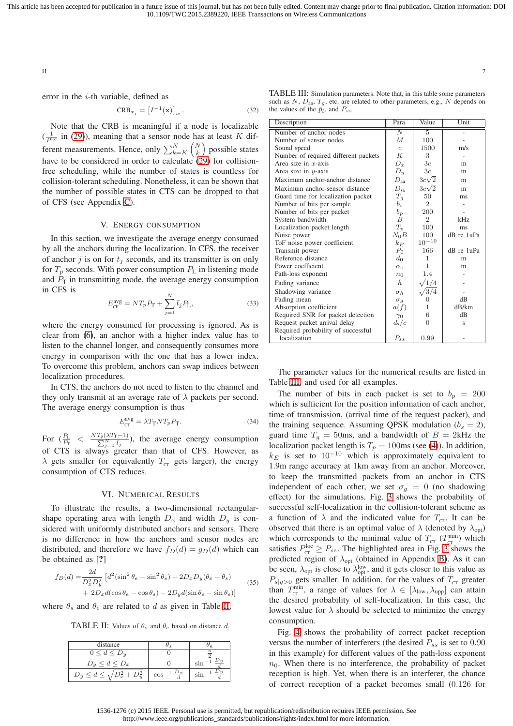H  $\,$ 

error in the i-th variable, defined as

$$
CRB_{x_i} = \left[I^{-1}(\mathbf{x})\right]_{ii}.
$$
 (32)

Note that the CRB is meaningful if a node is localizable  $(\frac{1}{P^{loc}}$  in (29)), meaning that a sensor node has at least K different measurements. Hence, only  $\sum_{k=K}^{N} \binom{N}{k}$  $\binom{N}{k}$  possible states have to be considered in order to calculate  $(29)$  for collisionfree scheduling, while the number of states is countless for collision-tolerant scheduling. Nonetheless, it can be shown that the number of possible states in CTS can be dropped to that of CFS (see Appendix C).

# V. ENERGY CONSUMPTION

In this section, we investigate the average energy consumed by all the anchors during the localization. In CFS, the receiver of anchor  $j$  is on for  $t_j$  seconds, and its transmitter is on only for  $T_p$  seconds. With power consumption  $P_L$  in listening mode and  $P<sub>T</sub>$  in transmitting mode, the average energy consumption in CFS is

$$
E_{\rm CF}^{\rm avg} = N T_p P_{\rm T} + \sum_{j=1}^{N} \bar{t}_j P_{\rm L},
$$
\n(33)

where the energy consumed for processing is ignored. As is clear from (6), an anchor with a higher index value has to listen to the channel longer, and consequently consumes more energy in comparison with the one that has a lower index. To overcome this problem, anchors can swap indices between localization procedures.

In CTS, the anchors do not need to listen to the channel and they only transmit at an average rate of  $\lambda$  packets per second. The average energy consumption is thus

$$
E_{\rm CT}^{\rm avg} = \lambda T_{\rm T} N T_p P_{\rm T}.
$$
\n(34)

For  $(\frac{P_{\rm L}}{P_{\rm T}} < \frac{NT_{\rm p}(\lambda T_{\rm T}-1)}{\sum_{i=1}^{N} \overline{t}_i}$  $\frac{\sum_{j=1}^{N} \bar{t}_j}{\sum_{j=1}^{N} \bar{t}_j}$ , the average energy consumption of CTS is always greater than that of CFS. However, as  $\lambda$  gets smaller (or equivalently  $T_{\text{CT}}$  gets larger), the energy consumption of CTS reduces.

# VI. NUMERICAL RESULTS

To illustrate the results, a two-dimensional rectangularshape operating area with length  $D_x$  and width  $D_y$  is considered with uniformly distributed anchors and sensors. There is no difference in how the anchors and sensor nodes are distributed, and therefore we have  $f_D(d) = g_D(d)$  which can be obtained as [**?**]

$$
f_D(d) = \frac{2d}{D_x^2 D_y^2} \left[ d^2 (\sin^2 \theta_e - \sin^2 \theta_s) + 2D_x D_y (\theta_e - \theta_s) + 2D_x d (\cos \theta_e - \cos \theta_s) - 2D_y d (\sin \theta_e - \sin \theta_s) \right]
$$
(35)

where  $\theta_s$  and  $\theta_e$  are related to d as given in Table II.

**TABLE II:** Values of  $\theta_s$  and  $\theta_e$  based on distance d.

| distance                                       |        |  |
|------------------------------------------------|--------|--|
| $0 \leq d \leq D_u$                            |        |  |
| $D_u \leq d \leq D_x$                          |        |  |
| $/D_x^2 + D_u^2$<br>$D_y \leq d \leq \sqrt{ }$ | $\cos$ |  |

TABLE III: Simulation parameters. Note that, in this table some parameters such as N,  $D_{aa}$ ,  $T_g$ , etc. are related to other parameters, e.g., N depends on the values of the  $\bar{p}_l$ , and  $P_{ss}$ .

| Description                          | Para.          | Value                       | Unit       |
|--------------------------------------|----------------|-----------------------------|------------|
| Number of anchor nodes               | $\overline{N}$ | 5                           |            |
| Number of sensor nodes               | $\overline{M}$ | 100                         |            |
| Sound speed                          | $\overline{c}$ | 1500                        | m/s        |
| Number of required different packets | K              | 3                           |            |
| Area size in $x$ -axis               | $D_x$          | 3c                          | m          |
| Area size in $y$ -axis               | $D_u$          | 3c                          | m          |
| Maximum anchor-anchor distance       | $D_{aa}$       | $3c\sqrt{2}$                | m          |
| Maximum anchor-sensor distance       | $D_{sa}$       | $3c\sqrt{2}$                | m          |
| Guard time for localization packet   | $T_g$          | 50                          | ms         |
| Number of bits per sample            | $b_s$          | $\overline{2}$              |            |
| Number of bits per packet            | $b_p$          | 200                         |            |
| System bandwidth                     | $\overline{B}$ | $\mathcal{D}_{\mathcal{L}}$ | kHz        |
| Localization packet length           | $T_p$          | 100                         | ms         |
| Noise power                          | $N_0B$         | 100                         | dB re 1uPa |
| ToF noise power coefficient          | $k_E$          | $10^{-10}$                  |            |
| Transmit power                       | $P_0$          | 166                         | dB re 1uPa |
| Reference distance                   | $d_0$          | $\mathbf{1}$                | m          |
| Power coefficient                    | $\alpha_0$     | 1                           | m          |
| Path-loss exponent                   | n <sub>0</sub> | 1.4                         |            |
| Fading variance                      | $\overline{h}$ |                             |            |
| Shadowing variance                   | $\sigma_h$     | 3/4                         |            |
| Fading mean                          | $\sigma_q$     | 0                           | dB         |
| Absorption coefficient               | a(f)           | 1                           | dB/km      |
| Required SNR for packet detection    | $\gamma_0$     | 6                           | dВ         |
| Request packet arrival delay         | $d_{\rm s}/c$  | $\Omega$                    | S          |
| Required probability of successful   |                |                             |            |
| localization                         | $P_{ss}$       | 0.99                        |            |

The parameter values for the numerical results are listed in Table III, and used for all examples.

The number of bits in each packet is set to  $b_p = 200$ which is sufficient for the position information of each anchor, time of transmission, (arrival time of the request packet), and the training sequence. Assuming QPSK modulation ( $b_s = 2$ ), guard time  $T_q = 50$ ms, and a bandwidth of  $B = 2k$ Hz the localization packet length is  $T_p = 100$ ms (see (4)). In addition,  $k_E$  is set to 10<sup>-10</sup> which is approximately equivalent to 1.9m range accuracy at 1km away from an anchor. Moreover, to keep the transmitted packets from an anchor in CTS independent of each other, we set  $\sigma_q = 0$  (no shadowing effect) for the simulations. Fig. 3 shows the probability of successful self-localization in the collision-tolerant scheme as a function of  $\lambda$  and the indicated value for  $T_{cr}$ . It can be observed that there is an optimal value of  $\lambda$  (denoted by  $\lambda_{opt}$ ) which corresponds to the minimal value of  $T_{cr}$  ( $T_{cr}^{\min}$ ) which satisfies  $P_{\text{cr}}^{\text{loc}} \geq P_{ss}$ . The highlighted area in Fig. 3 shows the predicted region of  $\lambda_{opt}$  (obtained in Appendix B). As it can be seen,  $\lambda_{opt}$  is close to  $\lambda_{opt}^{low}$ , and it gets closer to this value as  $P_{s|q>0}$  gets smaller. In addition, for the values of  $T_{cr}$  greater than  $T_{\text{cr}}^{\text{min}}$ , a range of values for  $\lambda \in [\lambda_{\text{low}}, \lambda_{\text{upp}}]$  can attain the desired probability of self-localization. In this case, the lowest value for  $\lambda$  should be selected to minimize the energy consumption.

Fig. 4 shows the probability of correct packet reception versus the number of interferers (the desired  $P_{ss}$  is set to 0.90 in this example) for different values of the path-loss exponent  $n<sub>0</sub>$ . When there is no interference, the probability of packet reception is high. Yet, when there is an interferer, the chance of correct reception of a packet becomes small (0.126 for

1536-1276 (c) 2015 IEEE. Personal use is permitted, but republication/redistribution requires IEEE permission. See http://www.ieee.org/publications\_standards/publications/rights/index.html for more information.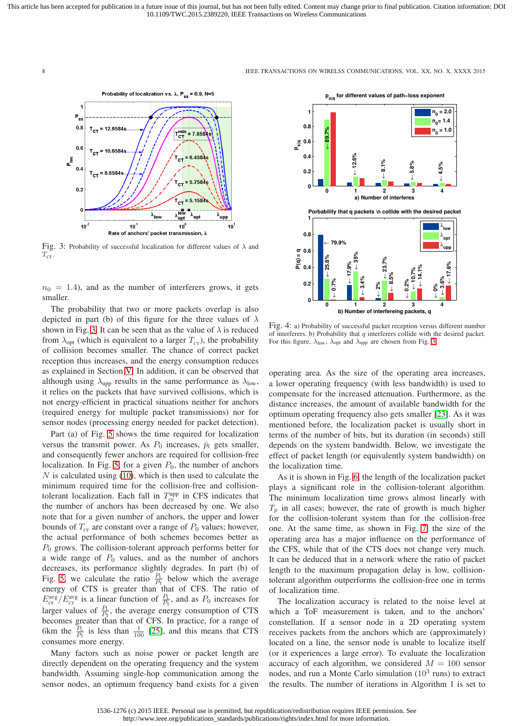



Fig. 3: Probability of successful localization for different values of  $\lambda$  and  $T_{\rm CT}.$ 

 $n_0 = 1.4$ ), and as the number of interferers grows, it gets smaller.

The probability that two or more packets overlap is also depicted in part (b) of this figure for the three values of  $\lambda$ shown in Fig. 3. It can be seen that as the value of  $\lambda$  is reduced from  $\lambda_{\text{opt}}$  (which is equivalent to a larger  $T_{cr}$ ), the probability of collision becomes smaller. The chance of correct packet reception thus increases, and the energy consumption reduces as explained in Section V. In addition, it can be observed that although using  $\lambda_{\text{upp}}$  results in the same performance as  $\lambda_{\text{low}}$ , it relies on the packets that have survived collisions, which is not energy-efficient in practical situations neither for anchors (required energy for multiple packet transmissions) nor for sensor nodes (processing energy needed for packet detection).

Part (a) of Fig. 5 shows the time required for localization versus the transmit power. As  $P_0$  increases,  $\bar{p}_l$  gets smaller, and consequently fewer anchors are required for collision-free localization. In Fig. 5, for a given  $P_0$ , the number of anchors  $N$  is calculated using (10), which is then used to calculate the minimum required time for the collision-free and collisiontolerant localization. Each fall in  $T_{\text{CF}}^{\text{upp}}$  in CFS indicates that the number of anchors has been decreased by one. We also note that for a given number of anchors, the upper and lower bounds of  $T_{CF}$  are constant over a range of  $P_0$  values; however, the actual performance of both schemes becomes better as  $P_0$  grows. The collision-tolerant approach performs better for a wide range of  $P_0$  values, and as the number of anchors decreases, its performance slightly degrades. In part (b) of Fig. 5, we calculate the ratio  $\frac{P_L}{P_T}$  below which the average energy of CTS is greater than that of CFS. The ratio of  $E_{\text{CF}}^{\text{avg}}/E_{\text{CT}}^{\text{avg}}$  is a linear function of  $\frac{P_L}{P_T}$ , and as  $P_0$  increases for larger values of  $\frac{P_L}{P_T}$ , the average energy consumption of CTS becomes greater than that of CFS. In practice, for a range of 6km the  $\frac{P_L}{P_T}$  is less than  $\frac{1}{100}$  [25], and this means that CTS consumes more energy.

Many factors such as noise power or packet length are directly dependent on the operating frequency and the system bandwidth. Assuming single-hop communication among the sensor nodes, an optimum frequency band exists for a given



Fig. 4: a) Probability of successful packet reception versus different number of interferers. b) Probability that  $q$  interferers collide with the desired packet. For this figure,  $\lambda_{\text{low}}$ ,  $\lambda_{\text{opt}}$  and  $\lambda_{\text{upp}}$  are chosen from Fig. 3.

operating area. As the size of the operating area increases, a lower operating frequency (with less bandwidth) is used to compensate for the increased attenuation. Furthermore, as the distance increases, the amount of available bandwidth for the optimum operating frequency also gets smaller [23]. As it was mentioned before, the localization packet is usually short in terms of the number of bits, but its duration (in seconds) still depends on the system bandwidth. Below, we investigate the effect of packet length (or equivalently system bandwidth) on the localization time.

As it is shown in Fig. 6, the length of the localization packet plays a significant role in the collision-tolerant algorithm. The minimum localization time grows almost linearly with  $T_p$  in all cases; however, the rate of growth is much higher for the collision-tolerant system than for the collision-free one. At the same time, as shown in Fig. 7, the size of the operating area has a major influence on the performance of the CFS, while that of the CTS does not change very much. It can be deduced that in a network where the ratio of packet length to the maximum propagation delay is low, collisiontolerant algorithm outperforms the collision-free one in terms of localization time.

The localization accuracy is related to the noise level at which a ToF measurement is taken, and to the anchors' constellation. If a sensor node in a 2D operating system receives packets from the anchors which are (approximately) located on a line, the sensor node is unable to localize itself (or it experiences a large error). To evaluate the localization accuracy of each algorithm, we considered  $M = 100$  sensor nodes, and run a Monte Carlo simulation  $(10^3 \text{ runs})$  to extract the results. The number of iterations in Algorithm 1 is set to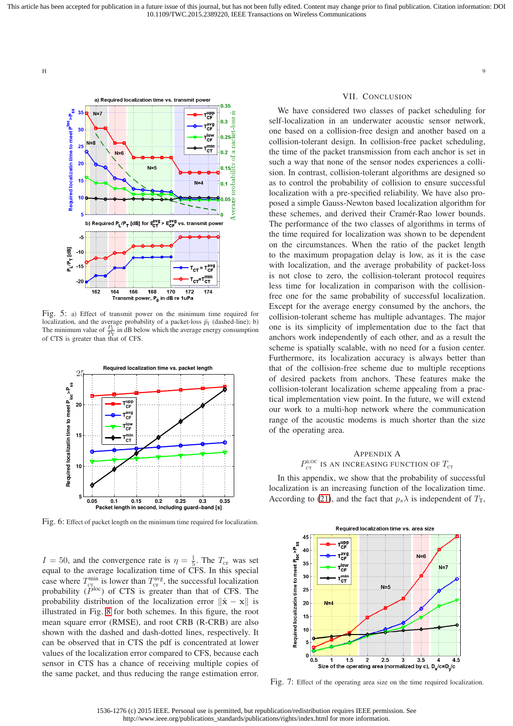This article has been accepted for publication in a future issue of this journal, but has not been fully edited. Content may change prior to final publication. Citation information: DOI 10.1109/TWC.2015.2389220, IEEE Transactions on Wireless Communications



Fig. 5: a) Effect of transmit power on the minimum time required for localization, and the average probability of a packet-loss  $\bar{p}_l$  (dashed-line); b) The minimum value of  $\frac{P_L}{P_T}$  in dB below which the average energy consumption of CTS is greater than that of CFS.



Fig. 6: Effect of packet length on the minimum time required for localization.

 $I = 50$ , and the convergence rate is  $\eta = \frac{1}{5}$ . The  $T_{CF}$  was set equal to the average localization time of CFS. In this special case where  $T_{\text{cr}}^{\text{min}}$  is lower than  $T_{\text{cr}}^{\text{avg}}$ , the successful localization probability  $(\overline{P}^{loc})$  of CTS is greater than that of CFS. The probability distribution of the localization error  $\|\hat{\mathbf{x}} - \mathbf{x}\|$  is illustrated in Fig. 8 for both schemes. In this figure, the root mean square error (RMSE), and root CRB (R-CRB) are also shown with the dashed and dash-dotted lines, respectively. It can be observed that in CTS the pdf is concentrated at lower values of the localization error compared to CFS, because each sensor in CTS has a chance of receiving multiple copies of the same packet, and thus reducing the range estimation error.

#### VII. CONCLUSION

We have considered two classes of packet scheduling for self-localization in an underwater acoustic sensor network, one based on a collision-free design and another based on a collision-tolerant design. In collision-free packet scheduling, the time of the packet transmission from each anchor is set in such a way that none of the sensor nodes experiences a collision. In contrast, collision-tolerant algorithms are designed so as to control the probability of collision to ensure successful localization with a pre-specified reliability. We have also proposed a simple Gauss-Newton based localization algorithm for these schemes, and derived their Cramér-Rao lower bounds. The performance of the two classes of algorithms in terms of the time required for localization was shown to be dependent on the circumstances. When the ratio of the packet length to the maximum propagation delay is low, as it is the case with localization, and the average probability of packet-loss is not close to zero, the collision-tolerant protocol requires less time for localization in comparison with the collisionfree one for the same probability of successful localization. Except for the average energy consumed by the anchors, the collision-tolerant scheme has multiple advantages. The major one is its simplicity of implementation due to the fact that anchors work independently of each other, and as a result the scheme is spatially scalable, with no need for a fusion center. Furthermore, its localization accuracy is always better than that of the collision-free scheme due to multiple receptions of desired packets from anchors. These features make the collision-tolerant localization scheme appealing from a practical implementation view point. In the future, we will extend our work to a multi-hop network where the communication range of the acoustic modems is much shorter than the size of the operating area.

# APPENDIX A  $P^{\rm LOC}_{\rm CT}$  is an increasing function of  $T_{\rm CT}$

In this appendix, we show that the probability of successful localization is an increasing function of the localization time. According to (21), and the fact that  $p_s \lambda$  is independent of  $T_T$ ,



Fig. 7: Effect of the operating area size on the time required localization.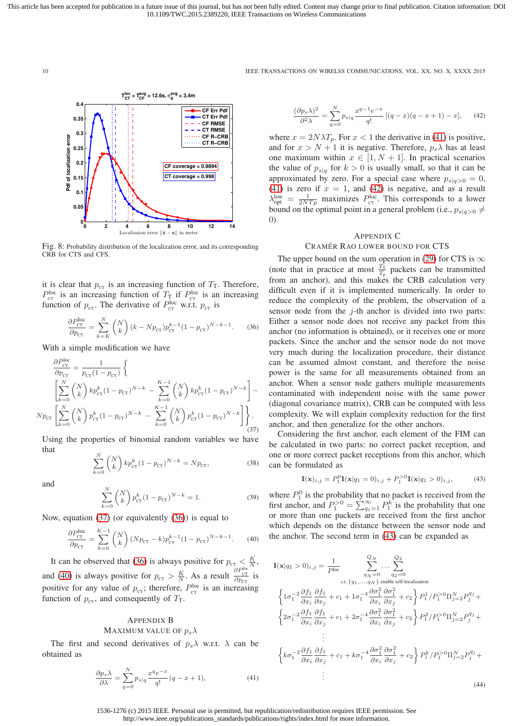

Fig. 8: Probability distribution of the localization error, and its corresponding CRB for CTS and CFS.

it is clear that  $p_{cr}$  is an increasing function of  $T_T$ . Therefore,  $P_{\text{cr}}^{\text{loc}}$  is an increasing function of  $T_{\text{T}}$  if  $P_{\text{cr}}^{\text{loc}}$  is an increasing function of  $p_{cr}$ . The derivative of  $P_{cr}^{loc}$  w.r.t.  $p_{cr}$  is

$$
\frac{\partial P_{\rm CT}^{\rm loc}}{\partial p_{\rm CT}} = \sum_{k=K}^{N} \binom{N}{k} (k - N p_{\rm CT}) p_{\rm CT}^{k-1} (1 - p_{\rm CT})^{N-k-1}.
$$
 (36)

With a simple modification we have

$$
\frac{\partial P_{\text{CT}}^{\text{loc}}}{\partial p_{\text{CT}}} = \frac{1}{p_{\text{CT}}(1 - p_{\text{CT}})} \left\{ \frac{\left[ \sum_{k=0}^{N} \binom{N}{k} k p_{\text{CT}}^{k} (1 - p_{\text{CT}})^{N-k} - \sum_{k=0}^{K-1} \binom{N}{k} k p_{\text{CT}}^{k} (1 - p_{\text{CT}})^{N-k} \right] - N p_{\text{CT}} \left[ \sum_{k=0}^{N} \binom{N}{k} p_{\text{CT}}^{k} (1 - p_{\text{CT}})^{N-k} - \sum_{k=0}^{K-1} \binom{N}{k} p_{\text{CT}}^{k} (1 - p_{\text{CT}})^{N-k} \right] \right\}.
$$
\n(37)

Using the properties of binomial random variables we have that

$$
\sum_{k=0}^{N} \binom{N}{k} k p_{\text{CT}}^{k} (1 - p_{\text{CT}})^{N-k} = N p_{\text{CT}},\tag{38}
$$

and

$$
\sum_{k=0}^{N} \binom{N}{k} p_{\text{CT}}^{k} (1 - p_{\text{CT}})^{N-k} = 1.
$$
 (39)

Now, equation (37) (or equivalently (36)) is equal to

$$
\frac{\partial P_{\rm CT}^{\rm loc}}{\partial p_{\rm CT}} = \sum_{k=0}^{K-1} {N \choose k} (N p_{\rm CT} - k) p_{\rm CT}^{k-1} (1 - p_{\rm CT})^{N-k-1}.
$$
 (40)

It can be observed that (36) is always positive for  $p_{cr} < \frac{K}{N}$ , and (40) is always positive for  $p_{cr} > \frac{K}{N}$ . As a result  $\frac{\partial P_{cr}^{\text{loc}}}{\partial p_{cr}}$  is positive for any value of  $p_{cr}$ ; therefore,  $P_{cr}^{loc}$  is an increasing function of  $p_{cr}$ , and consequently of  $T_T$ .

# APPENDIX B MAXIMUM VALUE OF  $p_s\lambda$

The first and second derivatives of  $p_s \lambda$  w.r.t.  $\lambda$  can be obtained as

$$
\frac{\partial p_s \lambda}{\partial \lambda} = \sum_{q=0}^{N} p_{s|q} \frac{x^q e^{-x}}{q!} (q - x + 1),
$$
\n(41)

10 IEEE TRANSACTIONS ON WIRELSS COMMUNICATIONS, VOL. XX, NO. X, XXXX 2015

$$
\frac{(\partial p_s \lambda)^2}{\partial^2 \lambda} = \sum_{q=0}^N p_{s|q} \frac{x^{q-1} e^{-x}}{q!} [(q-x)(q-x+1) - x], \quad (42)
$$

where  $x = 2N\lambda T_n$ . For  $x < 1$  the derivative in (41) is positive, and for  $x > N + 1$  it is negative. Therefore,  $p_s \lambda$  has at least one maximum within  $x \in [1, N + 1]$ . In practical scenarios the value of  $p_{s|q}$  for  $k > 0$  is usually small, so that it can be approximated by zero. For a special case where  $p_{s|q>0} = 0$ , (41) is zero if  $x = 1$ , and (42) is negative, and as a result  $\lambda_{opt}^{\text{low}} = \frac{1}{2NT_p}$  maximizes  $P_{\text{cr}}^{\text{loc}}$ . This corresponds to a lower bound on the optimal point in a general problem (i.e.,  $p_{s|q>0} \neq$ 0).

# APPENDIX C CRAMÉR RAO LOWER BOUND FOR CTS

The upper bound on the sum operation in (29) for CTS is  $\infty$ (note that in practice at most  $\frac{T_{\text{T}}}{T_{\text{p}}}$  packets can be transmitted from an anchor), and this makes the CRB calculation very difficult even if it is implemented numerically. In order to reduce the complexity of the problem, the observation of a sensor node from the  $j$ -th anchor is divided into two parts: Either a sensor node does not receive any packet from this anchor (no information is obtained), or it receives one or more packets. Since the anchor and the sensor node do not move very much during the localization procedure, their distance can be assumed almost constant, and therefore the noise power is the same for all measurements obtained from an anchor. When a sensor node gathers multiple measurements contaminated with independent noise with the same power (diagonal covariance matrix), CRB can be computed with less complexity. We will explain complexity reduction for the first anchor, and then generalize for the other anchors.

Considering the first anchor, each element of the FIM can be calculated in two parts: no correct packet reception, and one or more correct packet receptions from this anchor, which can be formulated as

$$
\mathbf{I}(\mathbf{x})_{i,j} = P_1^0 \mathbf{I}(\mathbf{x}|q_1 = 0)_{i,j} + P_1^{>0} \mathbf{I}(\mathbf{x}|q_1 > 0)_{i,j},\tag{43}
$$

where  $P_1^0$  is the probability that no packet is received from the first anchor, and  $P_1^{>0} = \sum_{q_1=1}^{\infty} P_1^k$  is the probability that one or more than one packets are received from the first anchor which depends on the distance between the sensor node and the anchor. The second term in (43) can be expanded as

$$
\mathbf{I}(\mathbf{x}|q_1 > 0)_{i,j} = \frac{1}{p\text{loc}} \sum_{q_N=0}^{Q_N} \cdots \sum_{q_2=0}^{Q_2} \text{s.t. } \{q_1, \ldots, q_N\} \text{ enable self-localization} \n\left\{ 1\sigma_1^{-2} \frac{\partial f_1}{\partial x_i} \frac{\partial f_1}{\partial x_j} + c_1 + 1\sigma_1^{-4} \frac{\partial \sigma_1^2}{\partial x_i} \frac{\partial \sigma_1^2}{\partial x_j} + c_2 \right\} P_1^1 / P_1^{>0} \Pi_{j=2}^N P_j^{q_j} + \n\left\{ 2\sigma_1^{-2} \frac{\partial f_1}{\partial x_i} \frac{\partial f_1}{\partial x_j} + c_1 + 2\sigma_1^{-4} \frac{\partial \sigma_1^2}{\partial x_i} \frac{\partial \sigma_1^2}{\partial x_j} + c_2 \right\} P_1^2 / P_1^{>0} \Pi_{j=2}^N P_j^{q_j} + \n\vdots \n\left\{ k\sigma_1^{-2} \frac{\partial f_1}{\partial x_i} \frac{\partial f_1}{\partial x_j} + c_1 + k\sigma_1^{-4} \frac{\partial \sigma_1^2}{\partial x_i} \frac{\partial \sigma_1^2}{\partial x_j} + c_2 \right\} P_1^k / P_1^{>0} \Pi_{j=2}^N P_j^{q_j} + \n\vdots
$$
\n(44)

1536-1276 (c) 2015 IEEE. Personal use is permitted, but republication/redistribution requires IEEE permission. See http://www.ieee.org/publications\_standards/publications/rights/index.html for more information.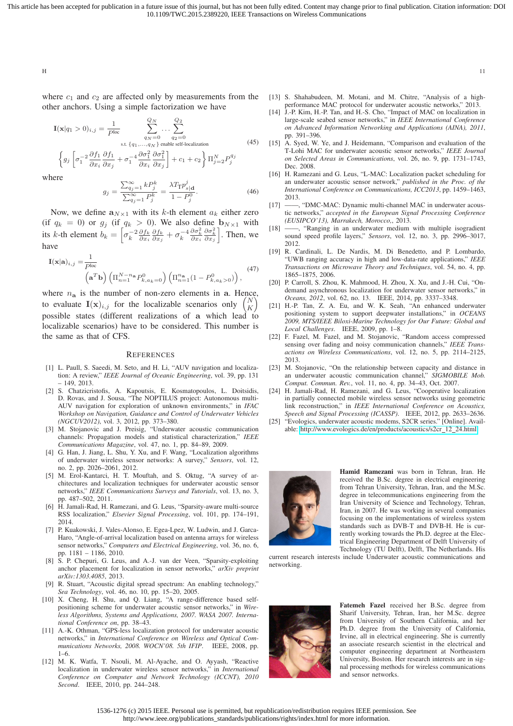H  $_{11}$ 

where  $c_1$  and  $c_2$  are affected only by measurements from the other anchors. Using a simple factorization we have

$$
\mathbf{I}(\mathbf{x}|q_1 > 0)_{i,j} = \frac{1}{p_{\text{loc}}} \sum_{q_N=0}^{Q_N} \dots \sum_{q_2=0}^{Q_2} \dots \sum_{q_2=0}^{Q_2}
$$
  
s.t. { $q_1, ..., q_N$ } enable self-localization  

$$
\left\{ g_j \left[ \sigma_1^{-2} \frac{\partial f_1}{\partial x_i} \frac{\partial f_1}{\partial x_j} + \sigma_1^{-4} \frac{\partial \sigma_1^2}{\partial x_i} \frac{\partial \sigma_1^2}{\partial x_j} \right] + c_1 + c_2 \right\} \Pi_{j=2}^N P_j^{q_j}
$$
(45)

where

$$
g_j = \frac{\sum_{q_j=1}^{\infty} k P_j^k}{\sum_{q_j=1}^{\infty} P_j^k} = \frac{\lambda T_{\rm T} p_{s|{\bf d}}^j}{1 - P_j^0}.
$$
 (46)

Now, we define  $a_{N\times 1}$  with its k-th element  $a_k$  either zero (if  $q_k = 0$ ) or  $g_j$  (if  $q_k > 0$ ). We also define  $\mathbf{b}_{N \times 1}$  with its *k*-th element  $b_k = \left[ \sigma_k^{-2} \frac{\partial f_k}{\partial x_i} \frac{\partial f_k}{\partial x_j} + \sigma_k^{-4} \right]$  $\frac{\partial \sigma_k^2}{\partial x_i}$  $\frac{\partial \sigma_k^2}{\partial x_j}$ . Then, we have

$$
\mathbf{I}(\mathbf{x}|\mathbf{a})_{i,j} = \frac{1}{P^{\text{loc}}} \left( \mathbf{a}^T \mathbf{b} \right) \left( \Pi_{n=1}^{N-n} P_{k,a_k=0}^0 \right) \left( \Pi_{n=1}^{n} (1 - P_{k,a_k>0}^0) \right), \tag{47}
$$

where  $n_a$  is the number of non-zero elements in a. Hence, to evaluate  $\mathbf{I}(\mathbf{x})_{i,j}$  for the localizable scenarios only  $\begin{pmatrix} N \\ K \end{pmatrix}$  $\binom{N}{K}$ possible states (different realizations of a which lead to localizable scenarios) have to be considered. This number is the same as that of CFS.

#### **REFERENCES**

- [1] L. Paull, S. Saeedi, M. Seto, and H. Li, "AUV navigation and localization: A review," *IEEE Journal of Oceanic Engineering*, vol. 39, pp. 131  $-149.2013$ .
- [2] S. Chatzicristofis, A. Kapoutsis, E. Kosmatopoulos, L. Doitsidis, D. Rovas, and J. Sousa, "The NOPTILUS project: Autonomous multi-AUV navigation for exploration of unknown environments," in *IFAC Workshop on Navigation, Guidance and Control of Underwater Vehicles (NGCUV2012)*, vol. 3, 2012, pp. 373–380.
- [3] M. Stojanovic and J. Preisig, "Underwater acoustic communication channels: Propagation models and statistical characterization," *IEEE Communications Magazine*, vol. 47, no. 1, pp. 84–89, 2009.
- [4] G. Han, J. Jiang, L. Shu, Y. Xu, and F. Wang, "Localization algorithms of underwater wireless sensor networks: A survey," *Sensors*, vol. 12, no. 2, pp. 2026–2061, 2012.
- [5] M. Erol-Kantarci, H. T. Mouftah, and S. Oktug, "A survey of architectures and localization techniques for underwater acoustic sensor networks," *IEEE Communications Surveys and Tutorials*, vol. 13, no. 3, pp. 487–502, 2011.
- [6] H. Jamali-Rad, H. Ramezani, and G. Leus, "Sparsity-aware multi-source RSS localization," *Elsevier Signal Processing*, vol. 101, pp. 174–191, 2014.
- [7] P. Kuakowski, J. Vales-Alonso, E. Egea-Lpez, W. Ludwin, and J. Garca-Haro, "Angle-of-arrival localization based on antenna arrays for wireless sensor networks," *Computers and Electrical Engineering*, vol. 36, no. 6, pp. 1181 – 1186, 2010.
- [8] S. P. Chepuri, G. Leus, and A.-J. van der Veen, "Sparsity-exploiting anchor placement for localization in sensor networks," *arXiv preprint arXiv:1303.4085*, 2013.
- [9] R. Stuart, "Acoustic digital spread spectrum: An enabling technology," *Sea Technology*, vol. 46, no. 10, pp. 15–20, 2005.
- [10] X. Cheng, H. Shu, and Q. Liang, "A range-difference based selfpositioning scheme for underwater acoustic sensor networks," in *Wireless Algorithms, Systems and Applications, 2007. WASA 2007. International Conference on*, pp. 38–43.
- [11] A.-K. Othman, "GPS-less localization protocol for underwater acoustic networks," in *International Conference on Wireless and Optical Communications Networks, 2008. WOCN'08. 5th IFIP*. IEEE, 2008, pp. 1–6.
- [12] M. K. Watfa, T. Nsouli, M. Al-Ayache, and O. Ayyash, "Reactive localization in underwater wireless sensor networks," in *International Conference on Computer and Network Technology (ICCNT), 2010 Second*. IEEE, 2010, pp. 244–248.
- [13] S. Shahabudeen, M. Motani, and M. Chitre, "Analysis of a highperformance MAC protocol for underwater acoustic networks," 2013.
- [14] J.-P. Kim, H.-P. Tan, and H.-S. Cho, "Impact of MAC on localization in large-scale seabed sensor networks," in *IEEE International Conference on Advanced Information Networking and Applications (AINA), 2011*, pp. 391–396.
- [15]  $\overrightarrow{A}$ . Syed, W. Ye, and J. Heidemann, "Comparison and evaluation of the T-Lohi MAC for underwater acoustic sensor networks," *IEEE Journal on Selected Areas in Communications*, vol. 26, no. 9, pp. 1731–1743, Dec. 2008.
- [16] H. Ramezani and G. Leus, "L-MAC: Localization packet scheduling for an underwater acoustic sensor network," *published in the Proc. of the International Conference on Communications, ICC2013*, pp. 1459–1463, 2013.
- [17] -, "DMC-MAC: Dynamic multi-channel MAC in underwater acoustic networks," *accepted in the European Signal Processing Conference (EUSIPCO'13), Marrakech, Morocco,*, 2013.
- [18] ——, "Ranging in an underwater medium with multiple isogradient sound speed profile layers," *Sensors*, vol. 12, no. 3, pp. 2996–3017, 2012.
- [19] R. Cardinali, L. De Nardis, M. Di Benedetto, and P. Lombardo, "UWB ranging accuracy in high and low-data-rate applications," *IEEE Transactions on Microwave Theory and Techniques*, vol. 54, no. 4, pp. 1865–1875, 2006.
- [20] P. Carroll, S. Zhou, K. Mahmood, H. Zhou, X. Xu, and J.-H. Cui, "Ondemand asynchronous localization for underwater sensor networks," in *Oceans, 2012*, vol. 62, no. 13. IEEE, 2014, pp. 3337–3348.
- [21] H.-P. Tan, Z. A. Eu, and W. K. Seah, "An enhanced underwater positioning system to support deepwater installations," in *OCEANS 2009, MTS/IEEE Biloxi-Marine Technology for Our Future: Global and Local Challenges*. IEEE, 2009, pp. 1–8.
- [22] F. Fazel, M. Fazel, and M. Stojanovic, "Random access compressed sensing over fading and noisy communication channels," *IEEE Transactions on Wireless Communications*, vol. 12, no. 5, pp. 2114–2125, 2013.
- [23] M. Stojanovic, "On the relationship between capacity and distance in an underwater acoustic communication channel," *SIGMOBILE Mob. Comput. Commun. Rev.*, vol. 11, no. 4, pp. 34–43, Oct. 2007.
- [24] H. Jamali-Rad, H. Ramezani, and G. Leus, "Cooperative localization in partially connected mobile wireless sensor networks using geometric link reconstruction," in *IEEE International Conference on Acoustics, Speech and Signal Processing (ICASSP)*. IEEE, 2012, pp. 2633–2636.
- [25] "Evologics, underwater acoustic modems, S2CR series." [Online]. Available: [http://www.evologics.de/en/products/acoustics/s2cr](http://www.evologics.de/en/products/acoustics/s2cr_12_24.html) 12 24.html



**Hamid Ramezani** was born in Tehran, Iran. He received the B.Sc. degree in electrical engineering from Tehran University, Tehran, Iran, and the M.Sc. degree in telecommunications engineering from the Iran University of Science and Technology, Tehran, Iran, in 2007. He was working in several companies focusing on the implementations of wireless system standards such as DVB-T and DVB-H. He is currently working towards the Ph.D. degree at the Electrical Engineering Department of Delft University of Technology (TU Delft), Delft, The Netherlands. His

current research interests include Underwater acoustic communications and networking.



**Fatemeh Fazel** received her B.Sc. degree from Sharif University, Tehran, Iran, her M.Sc. degree from University of Southern California, and her Ph.D. degree from the University of California, Irvine, all in electrical engineering. She is currently an associate research scientist in the electrical and computer engineering department at Northeastern University, Boston. Her research interests are in signal processing methods for wireless communications and sensor networks.